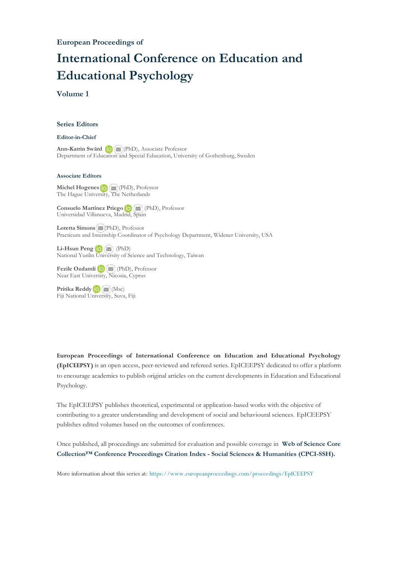# **International Conference on Education and Educational Psychology**

### **Volume 1**

#### **Series Editors**

#### **Editor-in-Chief**

**Ann-Katrin Swärd**(PhD), Associate Professor Department of Education and Special Education, University of Gothenburg, Sweden

#### **Associate Editors**

**Michel Hogenes D** ( $\blacktriangleright$ ) (PhD), Professor The Hague Unive[rsity](http://orcid.org/0000-0003-2298-3266), [The](mailto:m.hogenes@hhs.nl) Netherlands

**Consuelo Martínez Priego**(PhD), Professor Universidad Villanueva, Madrid, [Spai](mailto:consuelo.mp@gmail.com)n

**Loretta Simons** [\(](mailto:%20lnsimons@widener.edu)PhD), Professor Practicum and Internship Coordinator of Psychology Department, Widener University, USA

Li-Hsun Peng **(D)**  $\left(\mathbf{D}\right)$  (PhD) National Yunlin [Un](http://orcid.org/0000-0002-6346-1256)[ivers](mailto:penglh@gemail.yuntech.edu.tw)ity of Science and Technology, Taiwan

**Fezile Ozdamli** (PhD), Professor Near East Unive[rsity](http://orcid.org/0000-0002-6699-3418), [Nic](mailto:fezile.ozdamli@neu.edu.tr)osia, Cyprus

**Pritika Reddy**(Msc) Fiji National Univ[ersity](mailto:pritika.reddy@fnu.ac.fj), Suva, Fiji

**European Proceedings of International Conference on Education and Educational Psychology (EpICEEPSY)** is an open access, peer-reviewed and refereed series. EpICEEPSY dedicated to offer a platform to encourage academics to publish original articles on the current developments in Education and Educational Psychology.

The EpICEEPSY publishes theoretical, experimental or application-based works with the objective of contributing to a greater understanding and development of social and behavioural sciences. EpICEEPSY publishes edited volumes based on the outcomes of conferences.

Once published, all proceedings are submitted for evaluation and possible coverage in **Web of [Science](https://clarivate.com/webofsciencegroup/solutions/webofscience-cpci/) Core Collection™ Conference Proceedings Citation Index - Social Sciences & Humanities [\(CPCI-SSH\).](https://clarivate.com/webofsciencegroup/solutions/webofscience-cpci/)**

More information about this series at: <https://www.europeanproceedings.com/proceedings/EpICEEPSY>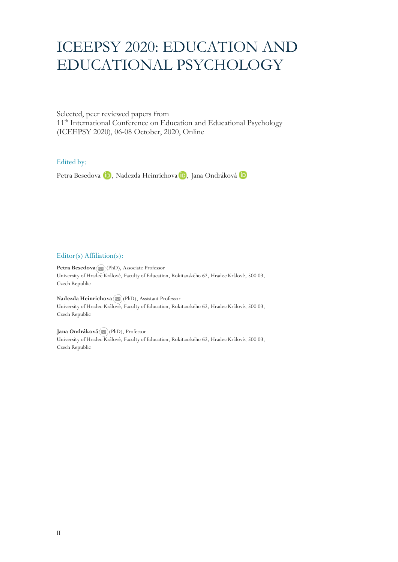# ICEEPSY 2020: EDUCATION AND EDUCATIONAL PSYCHOLOGY

Selected, peer reviewed papers from 11<sup>th</sup> International Conference on Education and Educational Psychology (ICEEPSY 2020), 06-08 October, 2020, Online

#### Edited by:

PetraBesedova (D), Nadezda Heinrichova (D), Jana Ondráková (D)

#### Editor(s) Affiliation(s):

**Petra Besedov[a](mailto:petra.besedova@uhk.cz)** (PhD), Associate Professor University of Hradec Králové, Faculty of Education, Rokitanského 62, Hradec Králové, 500 03, Czech Republic

**Nadezda Heinrichova**(PhD), Assistant Professor University of Hradec Králové, Faculty of Education, Rokitanského 62, Hradec Králové, 500 03, Czech Republic

**Jana Ondráková**(PhD), Professor University of Hradec Králové, Faculty of Education, Rokitanského 62, Hradec Králové, 500 03, Czech Republic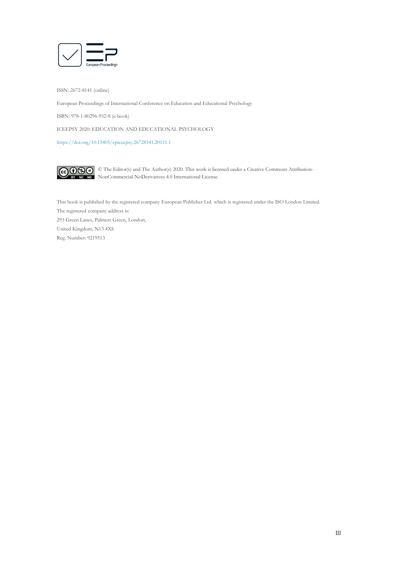

ISSN: 2672-8141 (online)

European Proceedings of International Conference on Education and Educational Psychology

ISBN: 978-1-80296-952-8 (e-book)

ICEEPSY 2020: EDUCATION AND EDUCATIONAL PSYCHOLOGY

<https://doi.org/10.15405/epiceepsy.26728141.20111.1>



© The Editor(s) and The Author(s) 2020. This work is licensed under a Creative Commons Attribution-NonCommercial-NoDerivatives 4.0 International License.

This book is published by the registered company European Publisher Ltd. which is registered under the ISO London Limited. The registered company address is: 293 Green Lanes, Palmers Green, London, United Kingdom, N13 4XS Reg. Number: 9219513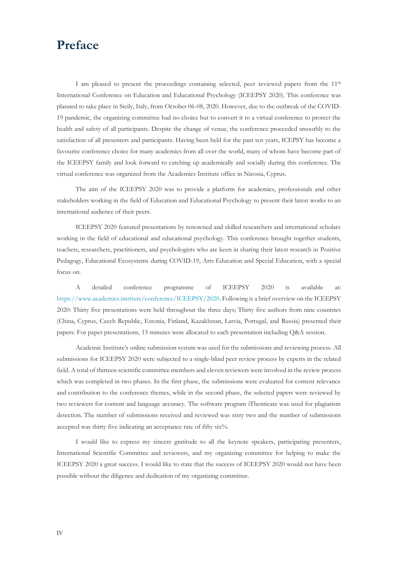# **Preface**

I am pleased to present the proceedings containing selected, peer reviewed papers from the 11th International Conference on Education and Educational Psychology (ICEEPSY 2020). This conference was planned to take place in Sicily, Italy, from October 06-08, 2020. However, due to the outbreak of the COVID-19 pandemic, the organizing committee had no choice but to convert it to a virtual conference to protect the health and safety of all participants. Despite the change of venue, the conference proceeded smoothly to the satisfaction of all presenters and participants. Having been held for the past ten years, ICEPSY has become a favourite conference choice for many academics from all over the world, many of whom have become part of the ICEEPSY family and look forward to catching up academically and socially during this conference. The virtual conference was organized from the Academics Institute office in Nicosia, Cyprus.

The aim of the ICEEPSY 2020 was to provide a platform for academics, professionals and other stakeholders working in the field of Education and Educational Psychology to present their latest works to an international audience of their peers.

ICEEPSY 2020 featured presentations by renowned and skilled researchers and international scholars working in the field of educational and educational psychology. This conference brought together students, teachers, researchers, practitioners, and psychologists who are keen in sharing their latest research in Positive Pedagogy, Educational Ecosystems during COVID-19, Arts Education and Special Education, with a special focus on.

A detailed conference programme of ICEEPSY 2020 is available at: [https://www.academics.institute/conference/ICEEPSY/2020.](https://www.academics.institute/conference/ICEEPSY/2020) Following is a brief overview on the ICEEPSY 2020: Thirty five presentations were held throughout the three days; Thirty five authors from nine countries (China, Cyprus, Czech Republic, Estonia, Finland, Kazakhstan, Latvia, Portugal, and Russia) presented their papers. For paper presentations, 15 minutes were allocated to each presentation including Q&A session.

Academic Institute's online submission system was used for the submissions and reviewing process. All submissions for ICEEPSY 2020 were subjected to a single-blind peer review process by experts in the related field. A total of thirteen scientific committee members and eleven reviewers were involved in the review process which was completed in two phases. In the first phase, the submissions were evaluated for content relevance and contribution to the conference themes, while in the second phase, the selected papers were reviewed by two reviewers for content and language accuracy. The software program iThenticate was used for plagiarism detection. The number of submissions received and reviewed was sixty two and the number of submissions accepted was thirty five indicating an acceptance rate of fifty six%.

I would like to express my sincere gratitude to all the keynote speakers, participating presenters, International Scientific Committee and reviewers, and my organizing committee for helping to make the ICEEPSY 2020 a great success. I would like to state that the success of ICEEPSY 2020 would not have been possible without the diligence and dedication of my organizing committee.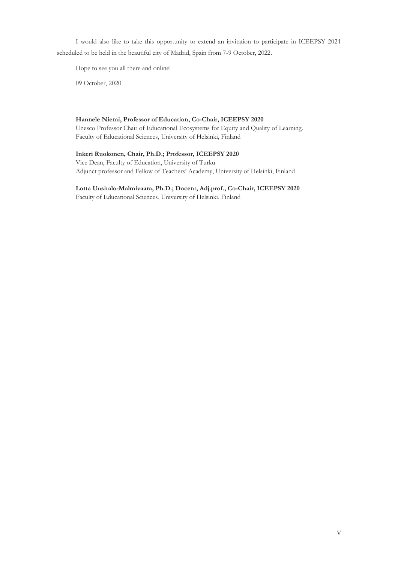I would also like to take this opportunity to extend an invitation to participate in ICEEPSY 2021 scheduled to be held in the beautiful city of Madrid, Spain from 7-9 October, 2022.

Hope to see you all there and online!

09 October, 2020

#### **Hannele Niemi, Professor of Education, Co-Chair, ICEEPSY 2020**

Unesco Professor Chair of Educational Ecosystems for Equity and Quality of Learning. Faculty of Educational Sciences, University of Helsinki, Finland

#### **Inkeri Ruokonen, Chair, Ph.D.; Professor, ICEEPSY 2020**

Vice Dean, Faculty of Education, University of Turku Adjunct professor and Fellow of Teachers' Academy, University of Helsinki, Finland

# **Lotta Uusitalo-Malmivaara, Ph.D.; Docent, Adj.prof., Co-Chair, ICEEPSY 2020**

Faculty of Educational Sciences, University of Helsinki, Finland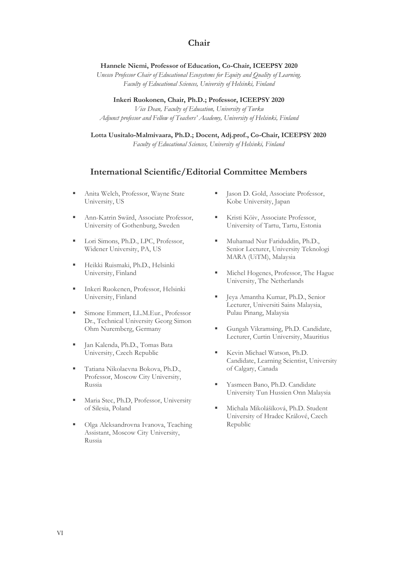# **Chair**

#### **Hannele Niemi, Professor of Education, Co-Chair, ICEEPSY 2020**

*Unesco Professor Chair of Educational Ecosystems for Equity and Quality of Learning. Faculty of Educational Sciences, University of Helsinki, Finland*

**Inkeri Ruokonen, Chair, Ph.D.; Professor, ICEEPSY 2020** *Vice Dean, Faculty of Education, University of Turku Adjunct professor and Fellow of Teachers' Academy, University of Helsinki, Finland*

**Lotta Uusitalo-Malmivaara, Ph.D.; Docent, Adj.prof., Co-Chair, ICEEPSY 2020** *Faculty of Educational Sciences, University of Helsinki, Finland*

# **International Scientific/Editorial Committee Members**

- Anita Welch, Professor, Wayne State University, US
- Ann-Katrin Swärd, Associate Professor, University of Gothenburg, Sweden
- **Example 3** Lori Simons, Ph.D., LPC, Professor, Widener University, PA, US
- **· Heikki Ruismaki, Ph.D., Helsinki** University, Finland
- Inkeri Ruokenen, Professor, Helsinki University, Finland
- **Emmert, LL.M.Eur., Professor** Dr., Technical University Georg Simon Ohm Nuremberg, Germany
- Ian Kalenda, Ph.D., Tomas Bata University, Czech Republic
- Tatiana Nikolaevna Bokova, Ph.D., Professor, Moscow City University, Russia
- Maria Stec, Ph.D, Professor, University of Silesia, Poland
- Olga Aleksandrovna Ivanova, Teaching Assistant, Moscow City University, Russia
- Jason D. Gold, Associate Professor, Kobe University, Japan
- Kristi Köiv, Associate Professor, University of Tartu, Tartu, Estonia
- Muhamad Nur Fariduddin, Ph.D., Senior Lecturer, University Teknologi MARA (UiTM), Malaysia
- **EXECUTE:** Michel Hogenes, Professor, The Hague University, The Netherlands
- Jeya Amantha Kumar, Ph.D., Senior Lecturer, Universiti Sains Malaysia, Pulau Pinang, Malaysia
- Gungah Vikramsing, Ph.D. Candidate, Lecturer, Curtin University, Mauritius
- Kevin Michael Watson, Ph.D. Candidate, Learning Scientist, University of Calgary, Canada
- Yasmeen Bano, Ph.D. Candidate University Tun Hussien Onn Malaysia
- **·** Michala Mikolášíková, Ph.D. Student University of Hradec Králové, Czech Republic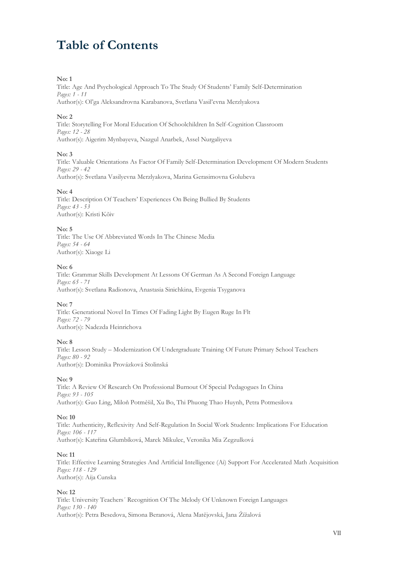# **Table of Contents**

#### **No: 1**

Title: Age And Psychological Approach To The Study Of Students' Family Self-Determination *Pages: 1 - 11* Author(s): Ol'ga Aleksandrovna Karabanova, Svetlana Vasil'evna Merzlyakova

### **No: 2**

Title: Storytelling For Moral Education Of Schoolchildren In Self-Cognition Classroom *Pages: 12 - 28* Author(s): Aigerim Mynbayeva, Nazgul Anarbek, Assel Nurgaliyeva

#### **No: 3**

Title: Valuable Orientations As Factor Of Family Self-Determination Development Of Modern Students *Pages: 29 - 42* Author(s): Svetlana Vasilyevna Merzlyakova, Marina Gerasimovna Golubeva

#### **No: 4**

Title: Description Of Teachers' Experiences On Being Bullied By Students *Pages: 43 - 53* Author(s): Kristi Kõiv

#### **No: 5**

Title: The Use Of Abbreviated Words In The Chinese Media *Pages: 54 - 64* Author(s): Xiaoge Li

#### **No: 6**

Title: Grammar Skills Development At Lessons Of German As A Second Foreign Language *Pages: 65 - 71* Author(s): Svetlana Radionova, Anastasia Sinichkina, Evgenia Tsyganova

# **No: 7**

Title: Generational Novel In Times Of Fading Light By Eugen Ruge In Flt *Pages: 72 - 79* Author(s): Nadezda Heinrichova

#### **No: 8**

Title: Lesson Study – Modernization Of Undergraduate Training Of Future Primary School Teachers *Pages: 80 - 92* Author(s): Dominika Provázková Stolinská

#### **No: 9**

Title: A Review Of Research On Professional Burnout Of Special Pedagogues In China *Pages: 93 - 105* Author(s): Guo Ling, Miloň Potměšil, Xu Bo, Thi Phuong Thao Huynh, Petra Potmesilova

#### **No: 10**

Title: Authenticity, Reflexivity And Self-Regulation In Social Work Students: Implications For Education *Pages: 106 - 117* Author(s): Kateřina Glumbíková, Marek Mikulec, Veronika Mia Zegzulková

#### **No: 11**

Title: Effective Learning Strategies And Artificial Intelligence (Ai) Support For Accelerated Math Acquisition *Pages: 118 - 129* Author(s): Aija Cunska

# **No: 12**

Title: University Teachers´ Recognition Of The Melody Of Unknown Foreign Languages *Pages: 130 - 140* Author(s): Petra Besedova, Simona Beranová, Alena Matějovská, Jana Žížalová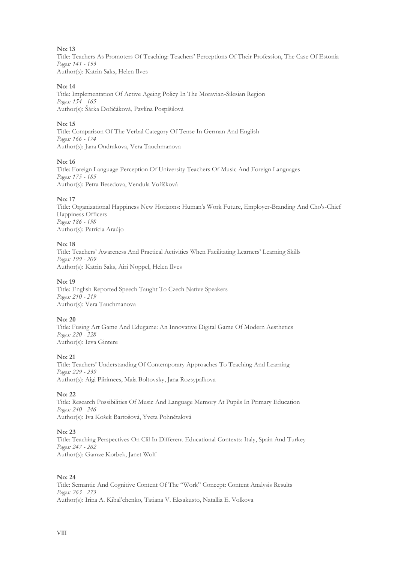#### **No: 13**

Title: Teachers As Promoters Of Teaching: Teachers' Perceptions Of Their Profession, The Case Of Estonia *Pages: 141 - 153* Author(s): Katrin Saks, Helen Ilves

#### **No: 14**

Title: Implementation Of Active Ageing Policy In The Moravian-Silesian Region *Pages: 154 - 165* Author(s): Šárka Dořičáková, Pavlína Pospíšilová

#### **No: 15**

Title: Comparison Of The Verbal Category Of Tense In German And English *Pages: 166 - 174* Author(s): Jana Ondrakova, Vera Tauchmanova

#### **No: 16**

Title: Foreign Language Perception Of University Teachers Of Music And Foreign Languages *Pages: 175 - 185* Author(s): Petra Besedova, Vendula Voříšková

#### **No: 17**

Title: Organizational Happiness New Horizons: Human's Work Future, Employer-Branding And Cho's-Chief Happiness Officers *Pages: 186 - 198* Author(s): Patrícia Araújo

#### **No: 18**

Title: Teachers' Awareness And Practical Activities When Facilitating Learners' Learning Skills *Pages: 199 - 209* Author(s): Katrin Saks, Airi Noppel, Helen Ilves

### **No: 19**

Title: English Reported Speech Taught To Czech Native Speakers *Pages: 210 - 219* Author(s): Vera Tauchmanova

#### **No: 20**

Title: Fusing Art Game And Edugame: An Innovative Digital Game Of Modern Aesthetics *Pages: 220 - 228* Author(s): Ieva Gintere

# **No: 21**

Title: Teachers' Understanding Of Contemporary Approaches To Teaching And Learning *Pages: 229 - 239* Author(s): Aigi Piirimees, Maia Boltovsky, Jana Rozsypalkova

#### **No: 22**

Title: Research Possibilities Of Music And Language Memory At Pupils In Primary Education *Pages: 240 - 246* Author(s): Iva Košek Bartošová, Yveta Pohnětalová

# **No: 23**

Title: Teaching Perspectives On Clil In Different Educational Contexts: Italy, Spain And Turkey *Pages: 247 - 262* Author(s): Gamze Korbek, Janet Wolf

#### **No: 24**

Title: Semantic And Cognitive Content Of The "Work" Concept: Content Analysis Results *Pages: 263 - 273* Author(s): Irina A. Kibal'chenko, Tatiana V. Eksakusto, Natallia E. Volkova